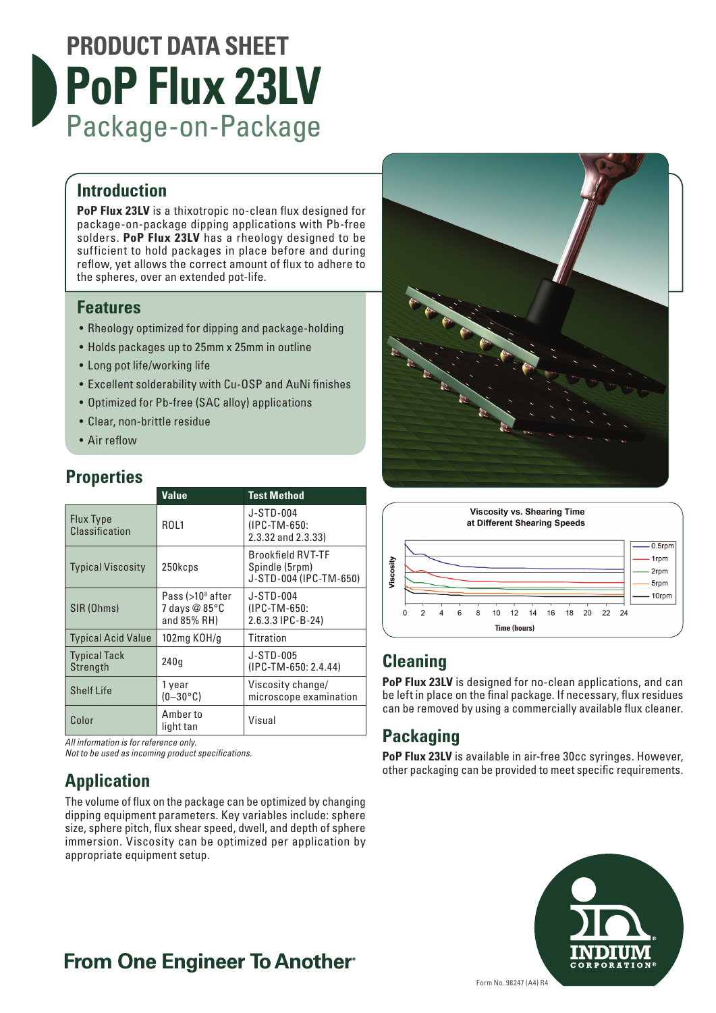# **PRODUCT DATA SHEET PoP Flux 23LV** Package-on-Package

### **Introduction**

**PoP Flux 23LV** is a thixotropic no-clean flux designed for package-on-package dipping applications with Pb-free solders. **PoP Flux 23LV** has a rheology designed to be sufficient to hold packages in place before and during reflow, yet allows the correct amount of flux to adhere to the spheres, over an extended pot-life.

### **Features**

- Rheology optimized for dipping and package-holding
- Holds packages up to 25mm x 25mm in outline
- Long pot life/working life
- Excellent solderability with Cu-OSP and AuNi finishes
- Optimized for Pb-free (SAC alloy) applications
- Clear, non-brittle residue
- Air reflow

### **Properties**

|                                 | <b>Value</b>                                                     | <b>Test Method</b>                                                   |
|---------------------------------|------------------------------------------------------------------|----------------------------------------------------------------------|
| Flux Type<br>Classification     | R <sub>OL</sub> 1                                                | J-STD-004<br>(IPC-TM-650:<br>2.3.32 and 2.3.33)                      |
| <b>Typical Viscosity</b>        | 250kcps                                                          | <b>Brookfield RVT-TF</b><br>Spindle (5rpm)<br>J-STD-004 (IPC-TM-650) |
| SIR (Ohms)                      | Pass $(>108$ after<br>7 days $@85^\circ \text{C}$<br>and 85% RH) | J-STD-004<br>(IPC-TM-650:<br>2.6.3.3 IPC-B-24)                       |
| <b>Typical Acid Value</b>       | 102mg KOH/g                                                      | Titration                                                            |
| <b>Typical Tack</b><br>Strength | 240q                                                             | J-STD-005<br>$(IPC-TM-650:2.4.44)$                                   |
| <b>Shelf Life</b>               | 1 year<br>$(0-30$ °C)                                            | Viscosity change/<br>microscope examination                          |
| Color                           | Amber to<br>light tan                                            | Visual                                                               |

*All information is for reference only.*

*Not to be used as incoming product specifications.*

### **Application**

The volume of flux on the package can be optimized by changing dipping equipment parameters. Key variables include: sphere size, sphere pitch, flux shear speed, dwell, and depth of sphere immersion. Viscosity can be optimized per application by appropriate equipment setup.





### **Cleaning**

**PoP Flux 23LV** is designed for no-clean applications, and can be left in place on the final package. If necessary, flux residues can be removed by using a commercially available flux cleaner.

### **Packaging**

**PoP Flux 23LV** is available in air-free 30cc syringes. However, other packaging can be provided to meet specific requirements.



## **From One Engineer To Another**®